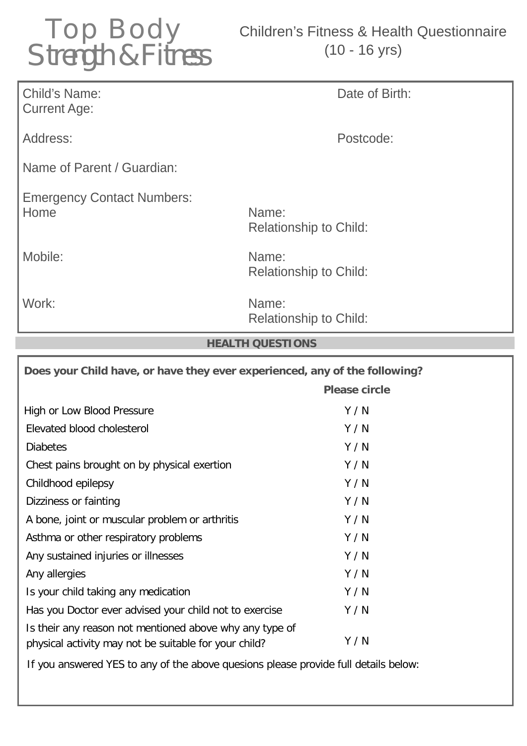

## Children's Fitness & Health Questionnaire (10 - 16 yrs)

| <b>Child's Name:</b><br><b>Current Age:</b>                                | Date of Birth:                         |
|----------------------------------------------------------------------------|----------------------------------------|
| Address:                                                                   | Postcode:                              |
| Name of Parent / Guardian:                                                 |                                        |
| <b>Emergency Contact Numbers:</b><br>Home                                  | Name:<br><b>Relationship to Child:</b> |
| Mobile:                                                                    | Name:<br><b>Relationship to Child:</b> |
| Work:                                                                      | Name:<br><b>Relationship to Child:</b> |
|                                                                            |                                        |
|                                                                            | <b>HEALTH QUESTIONS</b>                |
| Does your Child have, or have they ever experienced, any of the following? | <b>Please circle</b>                   |
| High or Low Blood Pressure                                                 | Y/N                                    |
| Elevated blood cholesterol                                                 | Y/N                                    |
| <b>Diabetes</b>                                                            | Y/N                                    |
| Chest pains brought on by physical exertion                                | Y/N                                    |
| Childhood epilepsy                                                         | Y/N                                    |
| Dizziness or fainting                                                      | Y/N                                    |
| A bone, joint or muscular problem or arthritis                             | Y/N                                    |
| Asthma or other respiratory problems                                       | Y/N                                    |
| Any sustained injuries or illnesses                                        | Y/N                                    |
| Any allergies                                                              | Y/N                                    |
| Is your child taking any medication                                        | Y/N                                    |
| Has you Doctor ever advised your child not to exercise                     | Y/N                                    |